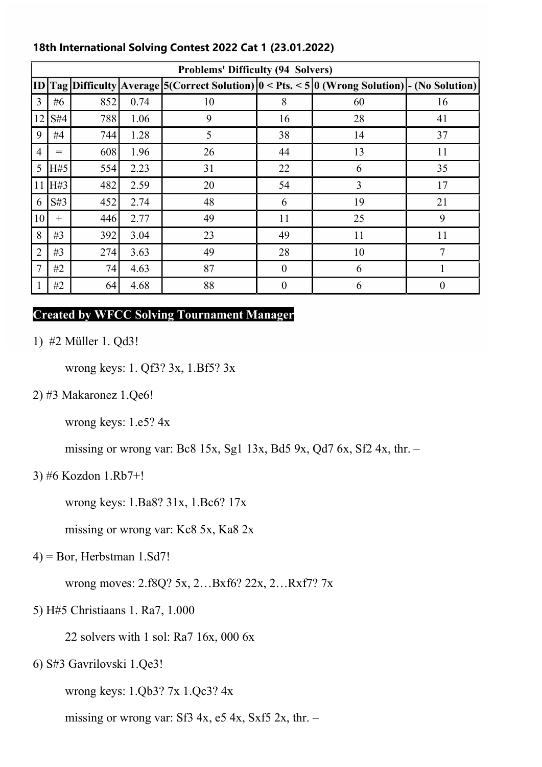| <b>Problems' Difficulty (94 Solvers)</b> |        |     |      |                                                                                               |                  |    |                  |
|------------------------------------------|--------|-----|------|-----------------------------------------------------------------------------------------------|------------------|----|------------------|
|                                          |        |     |      | ID Tag Difficulty Average 5(Correct Solution) 0 < Pts. < 5 0 (Wrong Solution) - (No Solution) |                  |    |                  |
| 3                                        | #6     | 852 | 0.74 | 10                                                                                            | 8                | 60 | 16               |
| 12                                       | S#4    | 788 | 1.06 | 9                                                                                             | 16               | 28 | 41               |
| 9                                        | #4     | 744 | 1.28 | 5                                                                                             | 38               | 14 | 37               |
| $\overline{4}$                           | $=$    | 608 | 1.96 | 26                                                                                            | 44               | 13 | 11               |
| 5                                        | H#5    | 554 | 2.23 | 31                                                                                            | 22               | 6  | 35               |
| 11                                       | H#3    | 482 | 2.59 | 20                                                                                            | 54               | 3  | 17               |
| 6                                        | S#3    | 452 | 2.74 | 48                                                                                            | 6                | 19 | 21               |
| 10                                       | $^{+}$ | 446 | 2.77 | 49                                                                                            | 11               | 25 | 9                |
| 8                                        | #3     | 392 | 3.04 | 23                                                                                            | 49               | 11 | 11               |
| $\overline{2}$                           | #3     | 274 | 3.63 | 49                                                                                            | 28               | 10 | 7                |
| 7                                        | #2     | 74  | 4.63 | 87                                                                                            | $\theta$         | 6  |                  |
|                                          | #2     | 64  | 4.68 | 88                                                                                            | $\boldsymbol{0}$ | 6  | $\boldsymbol{0}$ |

# 18th International Solving Contest 2022 Cat 1 (23.01.2022)

# Created by WFCC Solving Tournament Manager

1) #2 Müller 1. Qd3!

wrong keys: 1. Qf3? 3x, 1.Bf5? 3x

2) #3 Makaronez 1.Qe6!

wrong keys: 1.e5? 4x

missing or wrong var: Bc8 15x, Sg1 13x, Bd5 9x, Qd7 6x, Sf2 4x, thr. –

## 3) #6 Kozdon 1.Rb7+!

wrong keys: 1.Ba8? 31x, 1.Bc6? 17x

missing or wrong var: Kc8 5x, Ka8 2x

 $(4)$  = Bor, Herbstman 1.Sd7!

wrong moves: 2.f8Q? 5x, 2…Bxf6? 22x, 2…Rxf7? 7x

5) H#5 Christiaans 1. Ra7, 1.000

22 solvers with 1 sol: Ra7 16x, 000 6x

6) S#3 Gavrilovski 1.Qe3!

wrong keys: 1.Qb3? 7x 1.Qc3? 4x

missing or wrong var: Sf3 4x,  $e5$  4x, Sxf5 2x, thr. –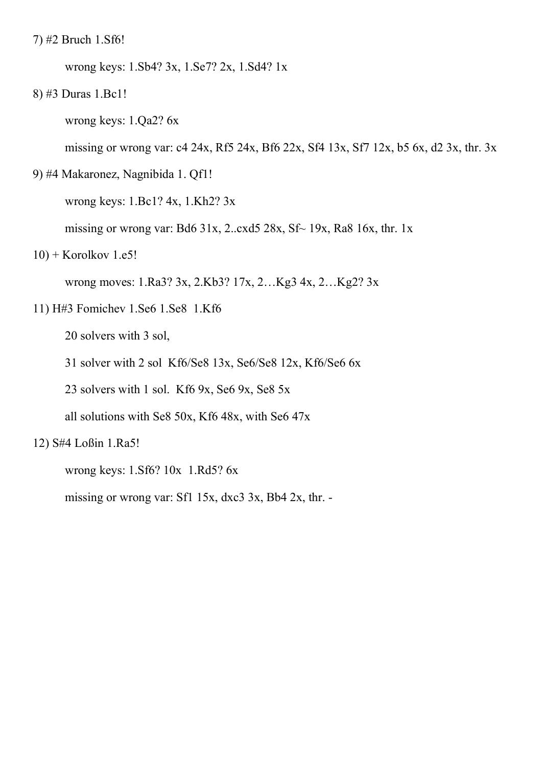7) #2 Bruch 1.Sf6!

wrong keys: 1.Sb4? 3x, 1.Se7? 2x, 1.Sd4? 1x

8) #3 Duras 1.Bc1!

wrong keys: 1.Qa2? 6x

missing or wrong var: c4 24x, Rf5 24x, Bf6 22x, Sf4 13x, Sf7 12x, b5 6x, d2 3x, thr. 3x

9) #4 Makaronez, Nagnibida 1. Qf1!

wrong keys: 1.Bc1? 4x, 1.Kh2? 3x

missing or wrong var: Bd6 31x, 2..cxd5 28x,  $Sf \sim 19x$ , Ra8 16x, thr. 1x

 $10$ ) + Korolkov 1.e5!

wrong moves: 1.Ra3? 3x, 2.Kb3? 17x, 2…Kg3 4x, 2…Kg2? 3x

11) H#3 Fomichev 1.Se6 1.Se8 1.Kf6

20 solvers with 3 sol,

31 solver with 2 sol Kf6/Se8 13x, Se6/Se8 12x, Kf6/Se6 6x

23 solvers with 1 sol. Kf6 9x, Se6 9x, Se8 5x

all solutions with Se8 50x, Kf6 48x, with Se6 47x

12) S#4 Loßin 1.Ra5!

wrong keys: 1.Sf6? 10x 1.Rd5? 6x

missing or wrong var: Sf1 15x, dxc3 3x, Bb4 2x, thr. -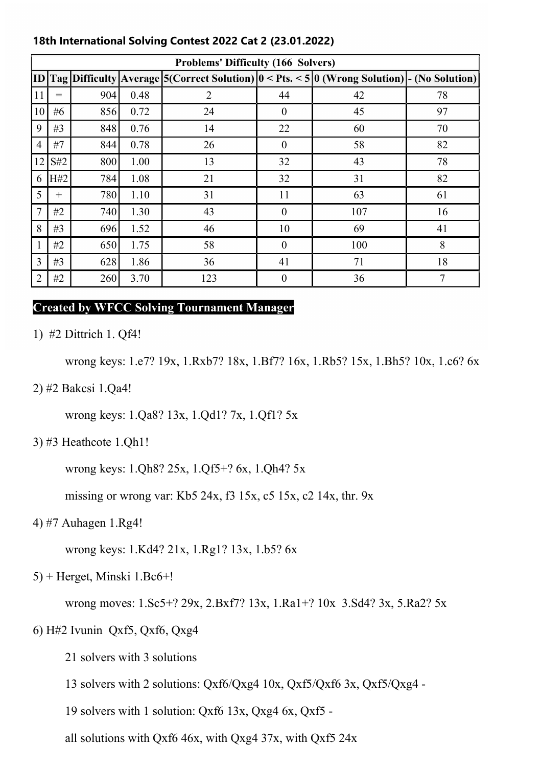| <b>Problems' Difficulty (166 Solvers)</b> |        |     |      |                                                                                                                      |                  |     |    |
|-------------------------------------------|--------|-----|------|----------------------------------------------------------------------------------------------------------------------|------------------|-----|----|
|                                           |        |     |      | ID $\text{Tag}$ Difficulty Average $5$ (Correct Solution) $0 <$ Pts. $< 5$ $0$ (Wrong Solution) $\mid$ (No Solution) |                  |     |    |
| 11                                        | $=$    | 904 | 0.48 | $\overline{2}$                                                                                                       | 44               | 42  | 78 |
| 10                                        | #6     | 856 | 0.72 | 24                                                                                                                   | $\theta$         | 45  | 97 |
| 9                                         | #3     | 848 | 0.76 | 14                                                                                                                   | 22               | 60  | 70 |
| 4                                         | #7     | 844 | 0.78 | 26                                                                                                                   | $\theta$         | 58  | 82 |
| 12                                        | S#2    | 800 | 1.00 | 13                                                                                                                   | 32               | 43  | 78 |
| 6                                         | H#2    | 784 | 1.08 | 21                                                                                                                   | 32               | 31  | 82 |
| 5                                         | $^{+}$ | 780 | 1.10 | 31                                                                                                                   | 11               | 63  | 61 |
| $\overline{7}$                            | #2     | 740 | 1.30 | 43                                                                                                                   | $\theta$         | 107 | 16 |
| 8                                         | #3     | 696 | 1.52 | 46                                                                                                                   | 10               | 69  | 41 |
|                                           | #2     | 650 | 1.75 | 58                                                                                                                   | $\theta$         | 100 | 8  |
| 3                                         | #3     | 628 | 1.86 | 36                                                                                                                   | 41               | 71  | 18 |
| $\overline{2}$                            | #2     | 260 | 3.70 | 123                                                                                                                  | $\boldsymbol{0}$ | 36  | 7  |

## 18th International Solving Contest 2022 Cat 2 (23.01.2022)

## Created by WFCC Solving Tournament Manager

1) #2 Dittrich 1. Qf4!

wrong keys: 1.e7? 19x, 1.Rxb7? 18x, 1.Bf7? 16x, 1.Rb5? 15x, 1.Bh5? 10x, 1.c6? 6x

2) #2 Bakcsi 1.Qa4!

wrong keys: 1.Qa8? 13x, 1.Qd1? 7x, 1.Qf1? 5x

3) #3 Heathcote 1.Qh1!

wrong keys: 1.Qh8? 25x, 1.Qf5+? 6x, 1.Qh4? 5x

missing or wrong var: Kb5 24x, f3 15x, c5 15x, c2 14x, thr. 9x

4) #7 Auhagen 1.Rg4!

wrong keys: 1.Kd4? 21x, 1.Rg1? 13x, 1.b5? 6x

5) + Herget, Minski 1.Bc6+!

wrong moves: 1.Sc5+? 29x, 2.Bxf7? 13x, 1.Ra1+? 10x 3.Sd4? 3x, 5.Ra2? 5x

6) H#2 Ivunin Qxf5, Qxf6, Qxg4

21 solvers with 3 solutions

13 solvers with 2 solutions: Qxf6/Qxg4 10x, Qxf5/Qxf6 3x, Qxf5/Qxg4 -

19 solvers with 1 solution: Qxf6 13x, Qxg4 6x, Qxf5 -

all solutions with Qxf6 46x, with Qxg4 37x, with Qxf5 24x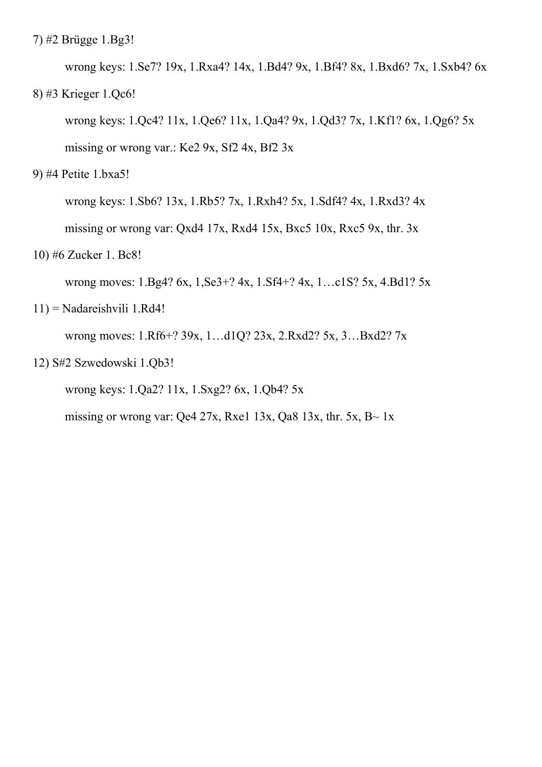7) #2 Brügge 1.Bg3!

 wrong keys: 1.Se7? 19x, 1.Rxa4? 14x, 1.Bd4? 9x, 1.Bf4? 8x, 1.Bxd6? 7x, 1.Sxb4? 6x 8) #3 Krieger 1.Qc6!

 wrong keys: 1.Qc4? 11x, 1.Qe6? 11x, 1.Qa4? 9x, 1.Qd3? 7x, 1.Kf1? 6x, 1.Qg6? 5x missing or wrong var.: Ke2 9x, Sf2 4x, Bf2 3x

9) #4 Petite 1.bxa5!

 wrong keys: 1.Sb6? 13x, 1.Rb5? 7x, 1.Rxh4? 5x, 1.Sdf4? 4x, 1.Rxd3? 4x missing or wrong var: Qxd4 17x, Rxd4 15x, Bxc5 10x, Rxc5 9x, thr. 3x

10) #6 Zucker 1. Bc8!

wrong moves: 1.Bg4? 6x, 1,Se3+? 4x, 1.Sf4+? 4x, 1...c1S? 5x, 4.Bd1? 5x

11) = Nadareishvili 1.Rd4!

wrong moves: 1.Rf6+? 39x, 1…d1Q? 23x, 2.Rxd2? 5x, 3…Bxd2? 7x

12) S#2 Szwedowski 1.Qb3!

wrong keys: 1.Qa2? 11x, 1.Sxg2? 6x, 1.Qb4? 5x

missing or wrong var: Qe4 27x, Rxe1 13x, Qa8 13x, thr. 5x, B $\sim$  1x